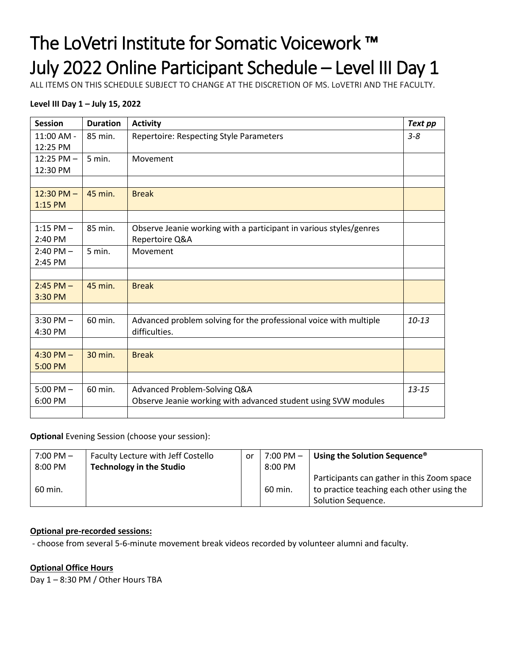# The LoVetri Institute for Somatic Voicework ™ July 2022 Online Participant Schedule – Level III Day 1

ALL ITEMS ON THIS SCHEDULE SUBJECT TO CHANGE AT THE DISCRETION OF MS. LoVETRI AND THE FACULTY.

### **Level III Day 1 – July 15, 2022**

| <b>Session</b> | <b>Duration</b> | <b>Activity</b>                                                    | Text pp   |
|----------------|-----------------|--------------------------------------------------------------------|-----------|
| $11:00$ AM -   | 85 min.         | <b>Repertoire: Respecting Style Parameters</b>                     | $3 - 8$   |
| 12:25 PM       |                 |                                                                    |           |
| $12:25$ PM $-$ | 5 min.          | Movement                                                           |           |
| 12:30 PM       |                 |                                                                    |           |
|                |                 |                                                                    |           |
| $12:30$ PM $-$ | 45 min.         | <b>Break</b>                                                       |           |
| $1:15$ PM      |                 |                                                                    |           |
|                |                 |                                                                    |           |
| $1:15$ PM $-$  | 85 min.         | Observe Jeanie working with a participant in various styles/genres |           |
| 2:40 PM        |                 | Repertoire Q&A                                                     |           |
| $2:40$ PM $-$  | $5$ min.        | Movement                                                           |           |
| 2:45 PM        |                 |                                                                    |           |
|                |                 |                                                                    |           |
| $2:45$ PM $-$  | 45 min.         | <b>Break</b>                                                       |           |
| 3:30 PM        |                 |                                                                    |           |
|                |                 |                                                                    |           |
| $3:30$ PM $-$  | 60 min.         | Advanced problem solving for the professional voice with multiple  | $10 - 13$ |
| 4:30 PM        |                 | difficulties.                                                      |           |
|                |                 |                                                                    |           |
| 4:30 PM $-$    | 30 min.         | <b>Break</b>                                                       |           |
| 5:00 PM        |                 |                                                                    |           |
|                |                 |                                                                    |           |
| $5:00$ PM $-$  | 60 min.         | Advanced Problem-Solving Q&A                                       | $13 - 15$ |
| 6:00 PM        |                 | Observe Jeanie working with advanced student using SVW modules     |           |
|                |                 |                                                                    |           |

### **Optional** Evening Session (choose your session):

| $7:00 \, \text{PM} -$ | Faculty Lecture with Jeff Costello | .or | $7:00 \, \text{PM} -$ | Using the Solution Sequence <sup>®</sup>   |
|-----------------------|------------------------------------|-----|-----------------------|--------------------------------------------|
| 8:00 PM               | <b>Technology in the Studio</b>    |     | $8:00 \text{ PM}$     |                                            |
|                       |                                    |     |                       | Participants can gather in this Zoom space |
| 60 min.               |                                    |     | 60 min.               | to practice teaching each other using the  |
|                       |                                    |     |                       | Solution Sequence.                         |

### **Optional pre-recorded sessions:**

- choose from several 5-6-minute movement break videos recorded by volunteer alumni and faculty.

### **Optional Office Hours**

Day 1 – 8:30 PM / Other Hours TBA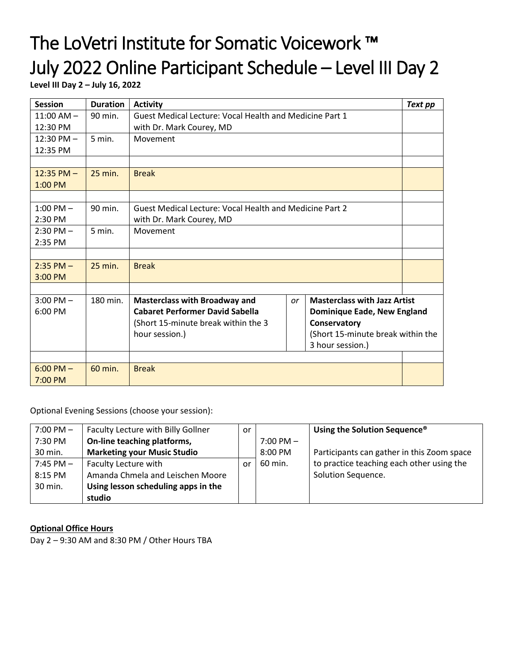# The LoVetri Institute for Somatic Voicework ™ July 2022 Online Participant Schedule – Level III Day 2

**Level III Day 2 – July 16, 2022**

| <b>Session</b>       | <b>Duration</b> | Text pp<br><b>Activity</b>                                            |                                                         |                                     |  |  |  |  |
|----------------------|-----------------|-----------------------------------------------------------------------|---------------------------------------------------------|-------------------------------------|--|--|--|--|
| $11:00$ AM $-$       | 90 min.         | Guest Medical Lecture: Vocal Health and Medicine Part 1               |                                                         |                                     |  |  |  |  |
| 12:30 PM             |                 | with Dr. Mark Courey, MD                                              |                                                         |                                     |  |  |  |  |
| $12:30 \text{ PM} -$ | 5 min.          | Movement                                                              |                                                         |                                     |  |  |  |  |
| 12:35 PM             |                 |                                                                       |                                                         |                                     |  |  |  |  |
|                      |                 |                                                                       |                                                         |                                     |  |  |  |  |
| $12:35$ PM $-$       | $25$ min.       | <b>Break</b>                                                          |                                                         |                                     |  |  |  |  |
| $1:00$ PM            |                 |                                                                       |                                                         |                                     |  |  |  |  |
|                      |                 |                                                                       |                                                         |                                     |  |  |  |  |
| $1:00$ PM $-$        | 90 min.         |                                                                       | Guest Medical Lecture: Vocal Health and Medicine Part 2 |                                     |  |  |  |  |
| 2:30 PM              |                 | with Dr. Mark Courey, MD                                              |                                                         |                                     |  |  |  |  |
| $2:30$ PM $-$        | 5 min.          | Movement                                                              |                                                         |                                     |  |  |  |  |
| 2:35 PM              |                 |                                                                       |                                                         |                                     |  |  |  |  |
|                      |                 |                                                                       |                                                         |                                     |  |  |  |  |
| $2:35$ PM $-$        | $25$ min.       | <b>Break</b>                                                          |                                                         |                                     |  |  |  |  |
| 3:00 PM              |                 |                                                                       |                                                         |                                     |  |  |  |  |
|                      |                 |                                                                       |                                                         |                                     |  |  |  |  |
| $3:00$ PM $-$        | 180 min.        | <b>Masterclass with Broadway and</b>                                  | or                                                      | <b>Masterclass with Jazz Artist</b> |  |  |  |  |
| 6:00 PM              |                 | <b>Cabaret Performer David Sabella</b><br>Dominique Eade, New England |                                                         |                                     |  |  |  |  |
|                      |                 | (Short 15-minute break within the 3                                   |                                                         | Conservatory                        |  |  |  |  |
|                      |                 | (Short 15-minute break within the<br>hour session.)                   |                                                         |                                     |  |  |  |  |
|                      |                 |                                                                       |                                                         | 3 hour session.)                    |  |  |  |  |
|                      |                 |                                                                       |                                                         |                                     |  |  |  |  |
| $6:00$ PM $-$        | 60 min.         | <b>Break</b>                                                          |                                                         |                                     |  |  |  |  |
| 7:00 PM              |                 |                                                                       |                                                         |                                     |  |  |  |  |

Optional Evening Sessions (choose your session):

| $7:00 \text{ PM} -$ | Faculty Lecture with Billy Gollner  | or |                     | Using the Solution Sequence <sup>®</sup>   |
|---------------------|-------------------------------------|----|---------------------|--------------------------------------------|
| 7:30 PM             | On-line teaching platforms,         |    | $7:00 \text{ PM} -$ |                                            |
| 30 min.             | <b>Marketing your Music Studio</b>  |    | 8:00 PM             | Participants can gather in this Zoom space |
| $7:45$ PM $-$       | Faculty Lecture with                | or | 60 min.             | to practice teaching each other using the  |
| 8:15 PM             | Amanda Chmela and Leischen Moore    |    |                     | Solution Sequence.                         |
| 30 min.             | Using lesson scheduling apps in the |    |                     |                                            |
|                     | studio                              |    |                     |                                            |

### **Optional Office Hours**

Day 2 – 9:30 AM and 8:30 PM / Other Hours TBA